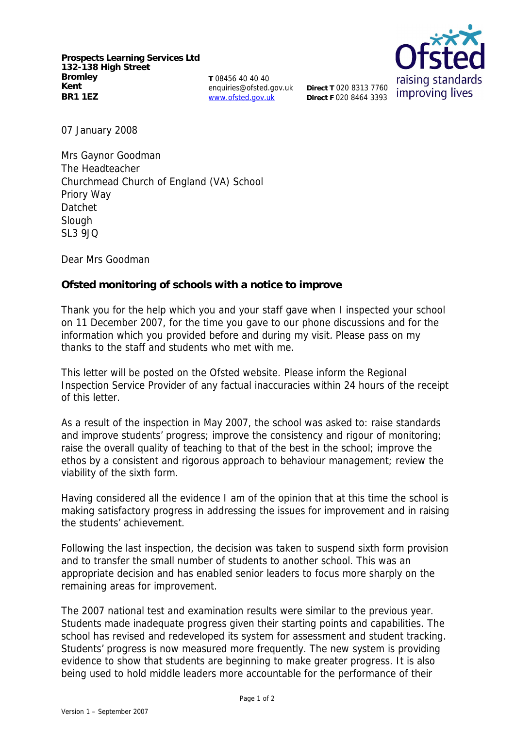**Prospects Learning Services Ltd 132-138 High Street Bromley Kent BR1 1EZ**

**T** 08456 40 40 40 enquiries@ofsted.gov.uk www.ofsted.gov.uk

**Direct T** 020 8313 7760 **Direct F** 020 8464 3393



07 January 2008

Mrs Gaynor Goodman The Headteacher Churchmead Church of England (VA) School Priory Way Datchet Slough  $SI$  3.9 $IO$ 

Dear Mrs Goodman

**Ofsted monitoring of schools with a notice to improve**

Thank you for the help which you and your staff gave when I inspected your school on 11 December 2007, for the time you gave to our phone discussions and for the information which you provided before and during my visit. Please pass on my thanks to the staff and students who met with me.

This letter will be posted on the Ofsted website. Please inform the Regional Inspection Service Provider of any factual inaccuracies within 24 hours of the receipt of this letter.

As a result of the inspection in May 2007, the school was asked to: raise standards and improve students' progress; improve the consistency and rigour of monitoring; raise the overall quality of teaching to that of the best in the school; improve the ethos by a consistent and rigorous approach to behaviour management; review the viability of the sixth form.

Having considered all the evidence I am of the opinion that at this time the school is making satisfactory progress in addressing the issues for improvement and in raising the students' achievement.

Following the last inspection, the decision was taken to suspend sixth form provision and to transfer the small number of students to another school. This was an appropriate decision and has enabled senior leaders to focus more sharply on the remaining areas for improvement.

The 2007 national test and examination results were similar to the previous year. Students made inadequate progress given their starting points and capabilities. The school has revised and redeveloped its system for assessment and student tracking. Students' progress is now measured more frequently. The new system is providing evidence to show that students are beginning to make greater progress. It is also being used to hold middle leaders more accountable for the performance of their